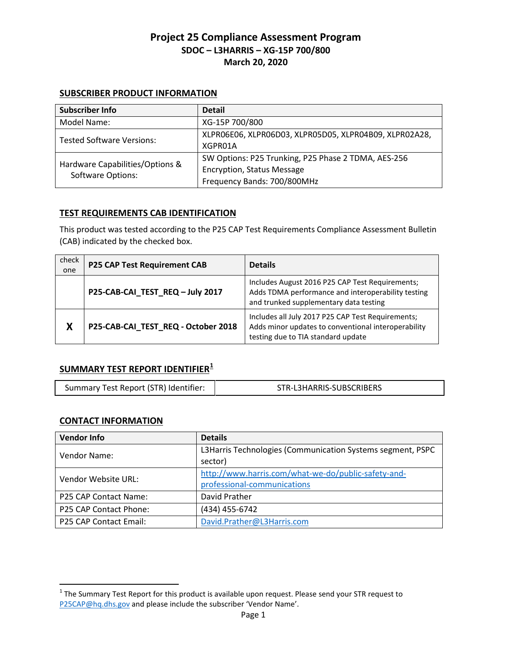#### **SUBSCRIBER PRODUCT INFORMATION**

| <b>Subscriber Info</b>                               | <b>Detail</b>                                                                                                           |
|------------------------------------------------------|-------------------------------------------------------------------------------------------------------------------------|
| Model Name:                                          | XG-15P 700/800                                                                                                          |
| <b>Tested Software Versions:</b>                     | XLPRO6E06, XLPRO6D03, XLPRO5D05, XLPRO4B09, XLPRO2A28,<br>XGPR01A                                                       |
| Hardware Capabilities/Options &<br>Software Options: | SW Options: P25 Trunking, P25 Phase 2 TDMA, AES-256<br><b>Encryption, Status Message</b><br>Frequency Bands: 700/800MHz |

#### **TEST REQUIREMENTS CAB IDENTIFICATION**

This product was tested according to the P25 CAP Test Requirements Compliance Assessment Bulletin (CAB) indicated by the checked box.

| check<br>one | <b>P25 CAP Test Requirement CAB</b> | <b>Details</b>                                                                                                                                  |
|--------------|-------------------------------------|-------------------------------------------------------------------------------------------------------------------------------------------------|
|              | P25-CAB-CAI_TEST_REQ-July 2017      | Includes August 2016 P25 CAP Test Requirements;<br>Adds TDMA performance and interoperability testing<br>and trunked supplementary data testing |
| X            | P25-CAB-CAI_TEST_REQ - October 2018 | Includes all July 2017 P25 CAP Test Requirements;<br>Adds minor updates to conventional interoperability<br>testing due to TIA standard update  |

# **SUMMARY TEST REPORT IDENTIFIER[1](#page-0-0)**

|  | Summary Test Report (STR) Identifier: | STR-L3HARRIS-SUBSCRIBERS |
|--|---------------------------------------|--------------------------|
|--|---------------------------------------|--------------------------|

# **CONTACT INFORMATION**

 $\overline{\phantom{a}}$ 

| <b>Vendor Info</b>     | <b>Details</b>                                             |
|------------------------|------------------------------------------------------------|
| Vendor Name:           | L3Harris Technologies (Communication Systems segment, PSPC |
|                        | sector)                                                    |
| Vendor Website URL:    | http://www.harris.com/what-we-do/public-safety-and-        |
|                        | professional-communications                                |
| P25 CAP Contact Name:  | David Prather                                              |
| P25 CAP Contact Phone: | (434) 455-6742                                             |
| P25 CAP Contact Email: | David.Prather@L3Harris.com                                 |

<span id="page-0-0"></span> $1$  The Summary Test Report for this product is available upon request. Please send your STR request to [P25CAP@hq.dhs.gov](mailto:P25CAP@hq.dhs.gov) and please include the subscriber 'Vendor Name'.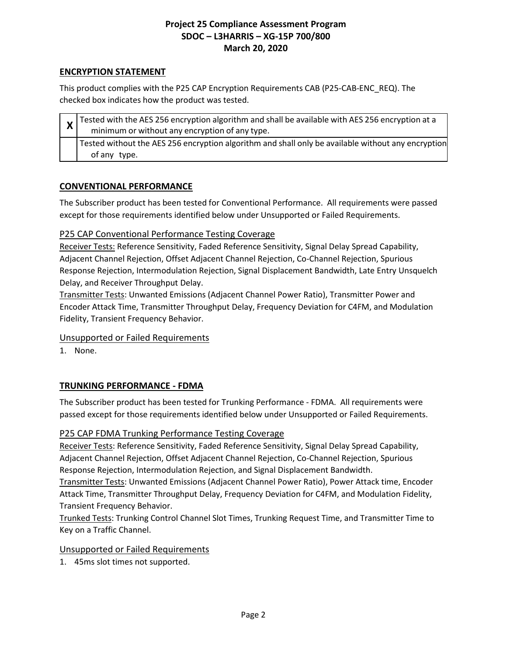# **ENCRYPTION STATEMENT**

This product complies with the P25 CAP Encryption Requirements CAB (P25-CAB-ENC\_REQ). The checked box indicates how the product was tested.

|  |  | $\frac{1}{x}$ Tested with the AES 256 encryption algorithm and shall be available with AES 256 encryption at a |
|--|--|----------------------------------------------------------------------------------------------------------------|
|  |  | minimum or without any encryption of any type.                                                                 |
|  |  | Tested without the AES 256 encryption algorithm and shall only be available without any encryption             |
|  |  | of any type.                                                                                                   |

# **CONVENTIONAL PERFORMANCE**

The Subscriber product has been tested for Conventional Performance. All requirements were passed except for those requirements identified below under Unsupported or Failed Requirements.

# P25 CAP Conventional Performance Testing Coverage

Receiver Tests: Reference Sensitivity, Faded Reference Sensitivity, Signal Delay Spread Capability, Adjacent Channel Rejection, Offset Adjacent Channel Rejection, Co-Channel Rejection, Spurious Response Rejection, Intermodulation Rejection, Signal Displacement Bandwidth, Late Entry Unsquelch Delay, and Receiver Throughput Delay.

Transmitter Tests: Unwanted Emissions (Adjacent Channel Power Ratio), Transmitter Power and Encoder Attack Time, Transmitter Throughput Delay, Frequency Deviation for C4FM, and Modulation Fidelity, Transient Frequency Behavior.

# Unsupported or Failed Requirements

1. None.

# **TRUNKING PERFORMANCE - FDMA**

The Subscriber product has been tested for Trunking Performance - FDMA. All requirements were passed except for those requirements identified below under Unsupported or Failed Requirements.

# P25 CAP FDMA Trunking Performance Testing Coverage

Receiver Tests: Reference Sensitivity, Faded Reference Sensitivity, Signal Delay Spread Capability, Adjacent Channel Rejection, Offset Adjacent Channel Rejection, Co-Channel Rejection, Spurious Response Rejection, Intermodulation Rejection, and Signal Displacement Bandwidth.

Transmitter Tests: Unwanted Emissions (Adjacent Channel Power Ratio), Power Attack time, Encoder Attack Time, Transmitter Throughput Delay, Frequency Deviation for C4FM, and Modulation Fidelity, Transient Frequency Behavior.

Trunked Tests: Trunking Control Channel Slot Times, Trunking Request Time, and Transmitter Time to Key on a Traffic Channel.

# Unsupported or Failed Requirements

1. 45ms slot times not supported.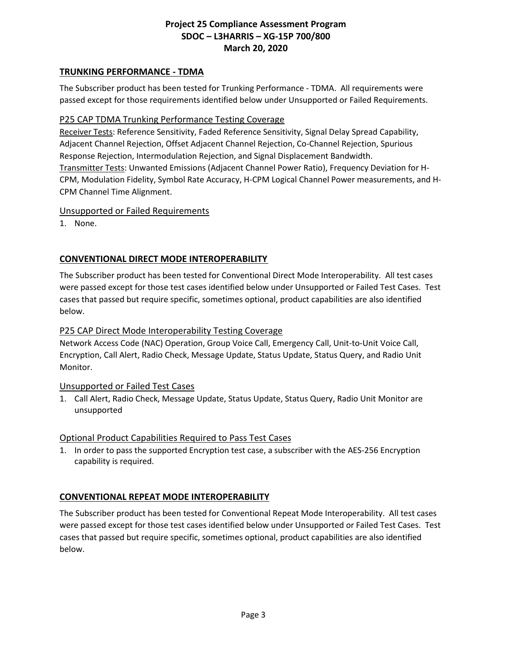# **TRUNKING PERFORMANCE - TDMA**

The Subscriber product has been tested for Trunking Performance - TDMA. All requirements were passed except for those requirements identified below under Unsupported or Failed Requirements.

# P25 CAP TDMA Trunking Performance Testing Coverage

Receiver Tests: Reference Sensitivity, Faded Reference Sensitivity, Signal Delay Spread Capability, Adjacent Channel Rejection, Offset Adjacent Channel Rejection, Co-Channel Rejection, Spurious Response Rejection, Intermodulation Rejection, and Signal Displacement Bandwidth. Transmitter Tests: Unwanted Emissions (Adjacent Channel Power Ratio), Frequency Deviation for H-CPM, Modulation Fidelity, Symbol Rate Accuracy, H-CPM Logical Channel Power measurements, and H-CPM Channel Time Alignment.

#### Unsupported or Failed Requirements

1. None.

# **CONVENTIONAL DIRECT MODE INTEROPERABILITY**

The Subscriber product has been tested for Conventional Direct Mode Interoperability. All test cases were passed except for those test cases identified below under Unsupported or Failed Test Cases. Test cases that passed but require specific, sometimes optional, product capabilities are also identified below.

# P25 CAP Direct Mode Interoperability Testing Coverage

Network Access Code (NAC) Operation, Group Voice Call, Emergency Call, Unit-to-Unit Voice Call, Encryption, Call Alert, Radio Check, Message Update, Status Update, Status Query, and Radio Unit Monitor.

# Unsupported or Failed Test Cases

1. Call Alert, Radio Check, Message Update, Status Update, Status Query, Radio Unit Monitor are unsupported

#### Optional Product Capabilities Required to Pass Test Cases

1. In order to pass the supported Encryption test case, a subscriber with the AES-256 Encryption capability is required.

# **CONVENTIONAL REPEAT MODE INTEROPERABILITY**

The Subscriber product has been tested for Conventional Repeat Mode Interoperability. All test cases were passed except for those test cases identified below under Unsupported or Failed Test Cases. Test cases that passed but require specific, sometimes optional, product capabilities are also identified below.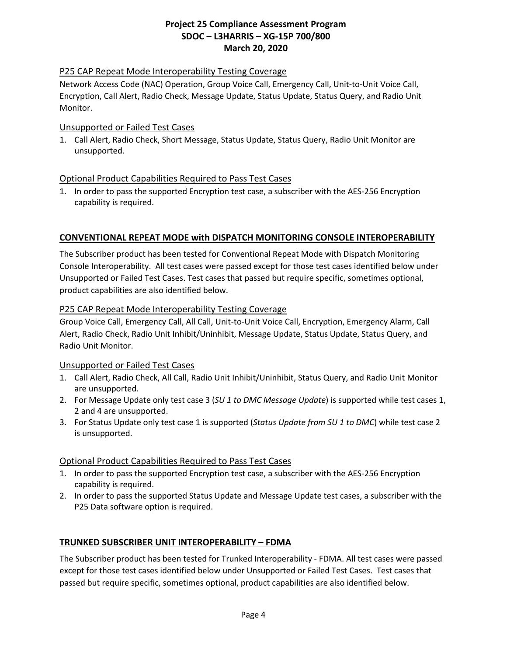# P25 CAP Repeat Mode Interoperability Testing Coverage

Network Access Code (NAC) Operation, Group Voice Call, Emergency Call, Unit-to-Unit Voice Call, Encryption, Call Alert, Radio Check, Message Update, Status Update, Status Query, and Radio Unit Monitor.

#### Unsupported or Failed Test Cases

1. Call Alert, Radio Check, Short Message, Status Update, Status Query, Radio Unit Monitor are unsupported.

# Optional Product Capabilities Required to Pass Test Cases

1. In order to pass the supported Encryption test case, a subscriber with the AES-256 Encryption capability is required.

#### **CONVENTIONAL REPEAT MODE with DISPATCH MONITORING CONSOLE INTEROPERABILITY**

The Subscriber product has been tested for Conventional Repeat Mode with Dispatch Monitoring Console Interoperability. All test cases were passed except for those test cases identified below under Unsupported or Failed Test Cases. Test cases that passed but require specific, sometimes optional, product capabilities are also identified below.

#### P25 CAP Repeat Mode Interoperability Testing Coverage

Group Voice Call, Emergency Call, All Call, Unit-to-Unit Voice Call, Encryption, Emergency Alarm, Call Alert, Radio Check, Radio Unit Inhibit/Uninhibit, Message Update, Status Update, Status Query, and Radio Unit Monitor.

# Unsupported or Failed Test Cases

- 1. Call Alert, Radio Check, All Call, Radio Unit Inhibit/Uninhibit, Status Query, and Radio Unit Monitor are unsupported.
- 2. For Message Update only test case 3 (*SU 1 to DMC Message Update*) is supported while test cases 1, 2 and 4 are unsupported.
- 3. For Status Update only test case 1 is supported (*Status Update from SU 1 to DMC*) while test case 2 is unsupported.

# Optional Product Capabilities Required to Pass Test Cases

- 1. In order to pass the supported Encryption test case, a subscriber with the AES-256 Encryption capability is required.
- 2. In order to pass the supported Status Update and Message Update test cases, a subscriber with the P25 Data software option is required.

# **TRUNKED SUBSCRIBER UNIT INTEROPERABILITY – FDMA**

The Subscriber product has been tested for Trunked Interoperability - FDMA. All test cases were passed except for those test cases identified below under Unsupported or Failed Test Cases. Test cases that passed but require specific, sometimes optional, product capabilities are also identified below.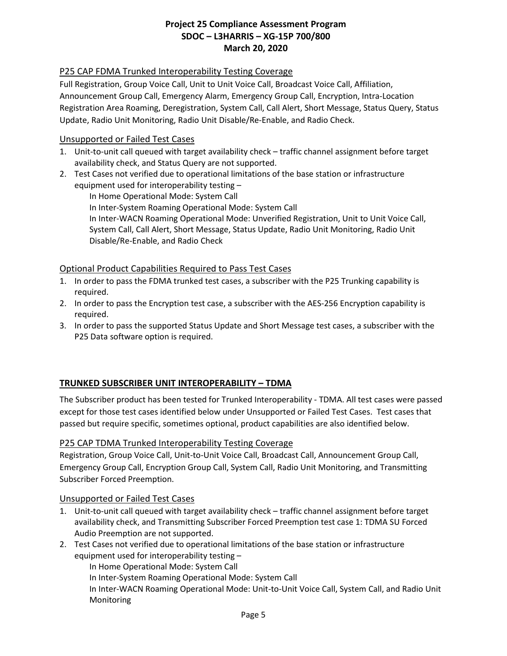# P25 CAP FDMA Trunked Interoperability Testing Coverage

Full Registration, Group Voice Call, Unit to Unit Voice Call, Broadcast Voice Call, Affiliation, Announcement Group Call, Emergency Alarm, Emergency Group Call, Encryption, Intra-Location Registration Area Roaming, Deregistration, System Call, Call Alert, Short Message, Status Query, Status Update, Radio Unit Monitoring, Radio Unit Disable/Re-Enable, and Radio Check.

#### Unsupported or Failed Test Cases

- 1. Unit-to-unit call queued with target availability check traffic channel assignment before target availability check, and Status Query are not supported.
- 2. Test Cases not verified due to operational limitations of the base station or infrastructure equipment used for interoperability testing –

In Home Operational Mode: System Call

In Inter-System Roaming Operational Mode: System Call

In Inter-WACN Roaming Operational Mode: Unverified Registration, Unit to Unit Voice Call, System Call, Call Alert, Short Message, Status Update, Radio Unit Monitoring, Radio Unit Disable/Re-Enable, and Radio Check

# Optional Product Capabilities Required to Pass Test Cases

- 1. In order to pass the FDMA trunked test cases, a subscriber with the P25 Trunking capability is required.
- 2. In order to pass the Encryption test case, a subscriber with the AES-256 Encryption capability is required.
- 3. In order to pass the supported Status Update and Short Message test cases, a subscriber with the P25 Data software option is required.

# **TRUNKED SUBSCRIBER UNIT INTEROPERABILITY – TDMA**

The Subscriber product has been tested for Trunked Interoperability - TDMA. All test cases were passed except for those test cases identified below under Unsupported or Failed Test Cases. Test cases that passed but require specific, sometimes optional, product capabilities are also identified below.

# P25 CAP TDMA Trunked Interoperability Testing Coverage

Registration, Group Voice Call, Unit-to-Unit Voice Call, Broadcast Call, Announcement Group Call, Emergency Group Call, Encryption Group Call, System Call, Radio Unit Monitoring, and Transmitting Subscriber Forced Preemption.

#### Unsupported or Failed Test Cases

- 1. Unit-to-unit call queued with target availability check traffic channel assignment before target availability check, and Transmitting Subscriber Forced Preemption test case 1: TDMA SU Forced Audio Preemption are not supported.
- 2. Test Cases not verified due to operational limitations of the base station or infrastructure equipment used for interoperability testing –

In Home Operational Mode: System Call

In Inter-System Roaming Operational Mode: System Call

In Inter-WACN Roaming Operational Mode: Unit-to-Unit Voice Call, System Call, and Radio Unit Monitoring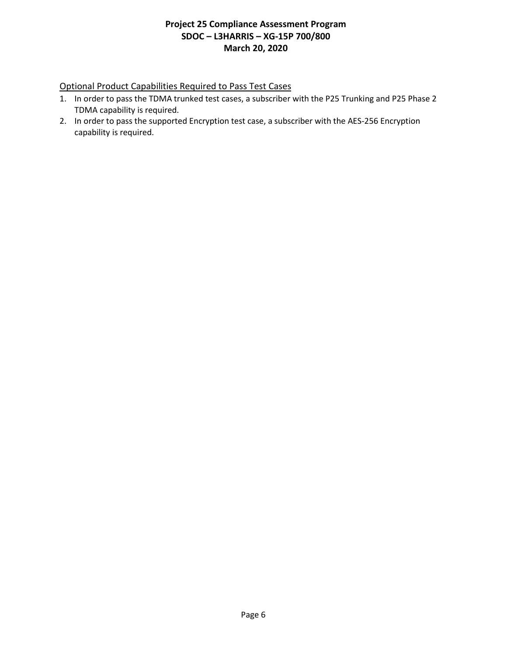# Optional Product Capabilities Required to Pass Test Cases

- 1. In order to pass the TDMA trunked test cases, a subscriber with the P25 Trunking and P25 Phase 2 TDMA capability is required.
- 2. In order to pass the supported Encryption test case, a subscriber with the AES-256 Encryption capability is required.